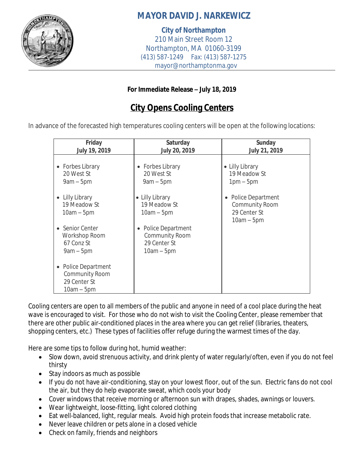

## **MAYOR DAVID J. NARKEWICZ**

**City of Northampton** 210 Main Street Room 12 Northampton, MA 01060-3199 (413) 587-1249 Fax: (413) 587-1275 mayor@northamptonma.gov

## **For Immediate Release – July 18, 2019**

## **City Opens Cooling Centers**

In advance of the forecasted high temperatures cooling centers will be open at the following locations:

| Friday<br>July 19, 2019                                                           | Saturday<br>July 20, 2019                                                  | <b>Sunday</b><br><b>July 21, 2019</b>                                                   |
|-----------------------------------------------------------------------------------|----------------------------------------------------------------------------|-----------------------------------------------------------------------------------------|
| • Forbes Library<br>20 West St<br>$9am - 5pm$                                     | • Forbes Library<br>20 West St<br>$9am - 5pm$                              | • Lilly Library<br>19 Meadow St<br>$1pm-5pm$                                            |
| • Lilly Library<br>19 Meadow St<br>$10am - 5pm$                                   | • Lilly Library<br>19 Meadow St<br>$10am - 5pm$                            | Police Department<br>$\bullet$<br><b>Community Room</b><br>29 Center St<br>$10am - 5pm$ |
| Senior Center<br>Workshop Room<br>67 Conz St<br>$9am - 5pm$                       | Police Department<br><b>Community Room</b><br>29 Center St<br>$10am - 5pm$ |                                                                                         |
| <b>Police Department</b><br><b>Community Room</b><br>29 Center St<br>$10am - 5pm$ |                                                                            |                                                                                         |

Cooling centers are open to all members of the public and anyone in need of a cool place during the heat wave is encouraged to visit. For those who do not wish to visit the Cooling Center, please remember that there are other public air-conditioned places in the area where you can get relief (libraries, theaters, shopping centers, etc.) These types of facilities offer refuge during the warmest times of the day.

Here are some tips to follow during hot, humid weather:

- Slow down, avoid strenuous activity, and drink plenty of water regularly/often, even if you do not feel thirsty
- Stay indoors as much as possible
- If you do not have air-conditioning, stay on your lowest floor, out of the sun. Electric fans do not cool the air, but they do help evaporate sweat, which cools your body
- Cover windows that receive morning or afternoon sun with drapes, shades, awnings or louvers.
- Wear lightweight, loose-fitting, light colored clothing
- Eat well-balanced, light, regular meals. Avoid high protein foods that increase metabolic rate.
- Never leave children or pets alone in a closed vehicle
- Check on family, friends and neighbors